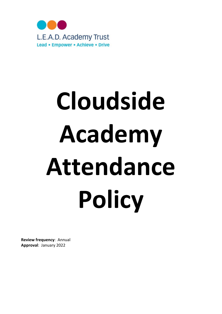

# Cloudside Academy Attendance **Policy**

Review frequency: Annual Approval: January 2022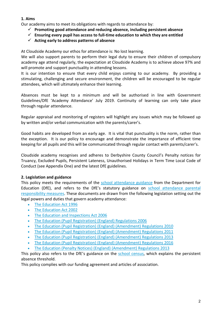# 1. Aims

Our academy aims to meet its obligations with regards to attendance by:

- $\checkmark$  Promoting good attendance and reducing absence, including persistent absence
- $\checkmark$  Ensuring every pupil has access to full-time education to which they are entitled
- $\checkmark$  Acting early to address patterns of absence

At Cloudside Academy our ethos for attendance is: No lost learning.

We will also support parents to perform their legal duty to ensure their children of compulsory academy age attend regularly, the expectation at Cloudside Academy is to achieve above 97% and will promote and support punctuality in attending lessons.

It is our intention to ensure that every child enjoys coming to our academy. By providing a stimulating, challenging and secure environment, the children will be encouraged to be regular attendees, which will ultimately enhance their learning.

Absences must be kept to a minimum and will be authorised in line with Government Guidelines/DfE 'Academy Attendance' July 2019. Continuity of learning can only take place through regular attendance.

Regular appraisal and monitoring of registers will highlight any issues which may be followed up by written and/or verbal communication with the parents/carer's.

Good habits are developed from an early age. It is vital that punctuality is the norm, rather than the exception. It is our policy to encourage and demonstrate the importance of efficient time keeping for all pupils and this will be communicated through regular contact with parents/carer's.

Cloudside academy recognises and adheres to Derbyshire County Council's Penalty notices for Truancy, Excluded Pupils, Persistent Lateness, Unauthorised Holidays in Term Time Local Code of Conduct (see Appendix One) and the latest DfE guidelines.

# 2. Legislation and guidance

This policy meets the requirements of the school attendance guidance from the Department for Education (DfE), and refers to the DfE's statutory guidance on school attendance parental responsibility measures. These documents are drawn from the following legislation setting out the legal powers and duties that govern academy attendance:

- The Education Act 1996
- The Education Act 2002
- The Education and Inspections Act 2006
- The Education (Pupil Registration) (England) Regulations 2006
- The Education (Pupil Registration) (England) (Amendment) Regulations 2010
- The Education (Pupil Registration) (England) (Amendment) Regulations 2011
- The Education (Pupil Registration) (England) (Amendment) Regulations 2013
- The Education (Pupil Registration) (England) (Amendment) Regulations 2016
- The Education (Penalty Notices) (England) (Amendment) Regulations 2013

This policy also refers to the DfE's guidance on the school census, which explains the persistent absence threshold.

This policy complies with our funding agreement and articles of association.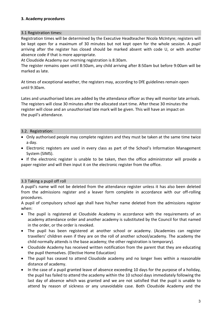### 3. Academy procedures

### 3.1 Registration times:

Registration times will be determined by the Executive Headteacher Nicola McIntyre; registers will be kept open for a maximum of 30 minutes but not kept open for the whole session. A pupil arriving after the register has closed should be marked absent with code U, or with another absence code if that is more appropriate.

At Cloudside Academy our morning registration is 8:30am.

The register remains open until 8:50am, any child arriving after 8:50am but before 9:00am will be marked as late.

At times of exceptional weather, the registers may, according to DfE guidelines remain open until 9:30am.

Lates and unauthorised lates are added by the attendance officer as they will monitor late arrivals. The registers will close 30 minutes after the allocated start time. After these 30 minutes the register will close and an unauthorised late mark will be given. This will have an impact on the pupil's attendance.

### 3.2. Registration:

- Only authorised people may complete registers and they must be taken at the same time twice a day.
- Electronic registers are used in every class as part of the School's Information Management System (SIMS).
- If the electronic register is unable to be taken, then the office administrator will provide a paper register and will then input it on the electronic register from the office.

### 3.3 Taking a pupil off roll

A pupil's name will not be deleted from the attendance register unless it has also been deleted from the admissions register and a leaver form complete in accordance with our off-rolling procedures.

A pupil of compulsory school age shall have his/her name deleted from the admissions register when:

- The pupil is registered at Cloudside Academy in accordance with the requirements of an academy attendance order and another academy is substituted by the Council for that named in the order, or the order is revoked.
- The pupil has been registered at another school or academy. (Academies can register travellers' children even if they are on the roll of another school/academy. The academy the child normally attends is the base academy; the other registration is temporary).
- Cloudside Academy has received written notification from the parent that they are educating the pupil themselves. (Elective Home Education)
- The pupil has ceased to attend Cloudside academy and no longer lives within a reasonable distance of academy.
- In the case of a pupil granted leave of absence exceeding 10 days for the purpose of a holiday, the pupil has failed to attend the academy within the 10 school days immediately following the last day of absence which was granted and we are not satisfied that the pupil is unable to attend by reason of sickness or any unavoidable case. Both Cloudside Academy and the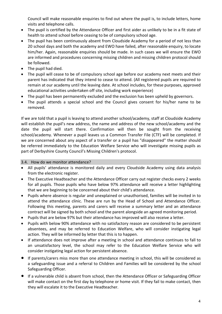Council will make reasonable enquiries to find out where the pupil is, to include letters, home visits and telephone calls.

- The pupil is certified by the Attendance Officer and first aider as unlikely to be in a fit state of health to attend school before ceasing to be of compulsory school age.
- The pupil has been continuously absent from Cloudside Academy for a period of not less than 20 school days and both the academy and EWO have failed, after reasonable enquiry, to locate him/her. Again, reasonable enquiries should be made. In such cases we will ensure the EWO are informed and procedures concerning missing children and missing children protocol should be followed.
- The pupil had died.
- The pupil will cease to be of compulsory school age before our academy next meets and their parent has indicated that they intend to cease to attend. (All registered pupils are required to remain at our academy until the leaving date. At school includes, for these purposes, approved educational activities undertaken off site, including work experience)
- The pupil has been permanently excluded and the exclusion has been upheld by governors.
- The pupil attends a special school and the Council gives consent for his/her name to be removed.

If we are told that a pupil is leaving to attend another school/academy, staff at Cloudside Academy will establish the pupil's new address, the name and address of the new school/academy and the date the pupil will start there. Confirmation will then be sought from the receiving school/academy. Whenever a pupil leaves us a Common Transfer File (CTF) will be completed. If we are concerned about any aspect of a transfer or a pupil has "disappeared" the matter should be referred immediately to the Education Welfare Service who will investigate missing pupils as part of Derbyshire County Council's Missing Children's protocol.

### 3.4. How do we monitor attendance?

- All pupils' attendance is monitored daily and every Cloudside Academy using data analysis from the electronic register.
- The Executive Headteacher and the Attendance Officer carry out register checks every 2 weeks for all pupils. Those pupils who have below 97% attendance will receive a letter highlighting that we are beginning to be concerned about their child's attendance.
- Pupils where absence is regular and unexplained or unauthorised, families will be invited in to attend the attendance clinic. These are run by the Head of School and Attendance Officer. Following this meeting, parents and carers will receive a summary letter and an attendance contract will be signed by both school and the parent alongside an agreed monitoring period.
- Pupils that are below 97% but their attendance has improved will also receive a letter.
- Pupils with below 90% attendance with no satisfactory reason are considered to be persistent absentees, and may be referred to Education Welfare, who will consider instigating legal action. They will be informed by letter that this is to happen.
- If attendance does not improve after a meeting in school and attendance continues to fall to an unsatisfactory level, the school may refer to the Education Welfare Service who will consider instigating legal action for persistent absence.
- If parents/carers miss more than one attendance meeting in school, this will be considered as a safeguarding issue and a referral to Children and Families will be considered by the school Safeguarding Officer.
- If a vulnerable child is absent from school, then the Attendance Officer or Safeguarding Officer will make contact on the first day by telephone or home visit. If they fail to make contact, then they will escalate it to the Executive Headteacher.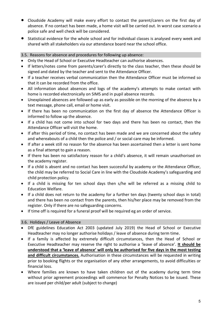- Cloudside Academy will make every effort to contact the parent/carers on the first day of absence. If no contact has been made, a home visit will be carried out. In worst case scenario a police safe and well check will be considered.
- Statistical evidence for the whole school and for individual classes is analysed every week and shared with all stakeholders via our attendance board near the school office.

# 3.5. Reasons for absence and procedures for following up absence:

- Only the Head of School or Executive Headteacher can authorise absences.
- If letters/notes come from parents/carer's directly to the class teacher, then these should be signed and dated by the teacher and sent to the Attendance Officer.
- If a teacher receives verbal communication then the Attendance Officer must be informed so that it can be recorded from the office.
- All information about absences and logs of the academy's attempts to make contact with home is recorded electronically on SIMS and in pupil absence records.
- Unexplained absences are followed up as early as possible on the morning of the absence by a text message, phone call, email or home visit.
- If there has been no communication on the first day of absence the Attendance Officer is informed to follow up the absence.
- If a child has not come into school for two days and there has been no contact, then the Attendance Officer will visit the home.
- If after this period of time, no contact has been made and we are concerned about the safety and whereabouts of a child then the police and / or social care may be informed.
- If after a week still no reason for the absence has been ascertained then a letter is sent home as a final attempt to gain a reason.
- If there has been no satisfactory reason for a child's absence, it will remain unauthorised on the academy register.
- If a child is absent and no contact has been successful by academy or the Attendance Officer, the child may be referred to Social Care in line with the Cloudside Academy's safeguarding and child protection policy.
- If a child is missing for ten school days then s/he will be referred as a missing child to Education Welfare.
- If a child does not return to the academy for a further ten days (twenty school days in total) and there has been no contact from the parents, then his/her place may be removed from the register. Only if there are no safeguarding concerns.
- If time off is required for a funeral proof will be required eg an order of service.

# 3.6. Holidays / Leave of Absence

- DfE guidelines Education Act 2003 (updated July 2019) the Head of School or Executive Headteacher may no longer authorise holidays / leave of absence during term time.
- If a family is affected by extremely difficult circumstances, then the Head of School or Executive Headteacher may reserve the right to authorise a 'leave of absence'. It should be understood that a 'leave of absence' will only be authorised for five days in the most testing and difficult circumstances. Authorisation in these circumstances will be requested in writing prior to booking flights or the organisation of any other arrangements, to avoid difficulties or financial loss.
- Where families are known to have taken children out of the academy during term time without prior agreement proceedings will commence for Penalty Notices to be issued. These are issued per child/per adult (subject to change)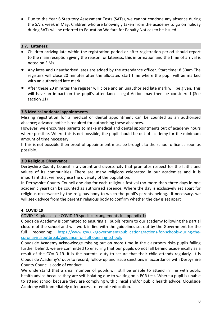Due to the Year 6 Statutory Assessment Tests (SATs), we cannot condone any absence during the SATs week in May. Children who are knowingly taken from the academy to go on holiday during SATs will be referred to Education Welfare for Penalty Notices to be issued.

### 3.7. Lateness:

- Children arriving late within the registration period or after registration period should report to the main reception giving the reason for lateness, this information and the time of arrival is noted on SIMs.
- Any lates and unauthorised lates are added by the attendance officer. Start time: 8.30am The registers will close 20 minutes after the allocated start time where the pupil will be marked with an authorised late mark.
- After these 20 minutes the register will close and an unauthorised late mark will be given. This will have an impact on the pupil's attendance. Legal Action may then be considered (See section 11)

### 3.8 Medical or dental appointments

Missing registration for a medical or dental appointment can be counted as an authorised absence; advance notice is required for authorising these absences.

However, we encourage parents to make medical and dental appointments out of academy hours where possible. Where this is not possible, the pupil should be out of academy for the minimum amount of time necessary.

If this is not possible then proof of appointment must be brought to the school office as soon as possible.

### 3.9 Religious Observance

Derbyshire County Council is a vibrant and diverse city that promotes respect for the faiths and values of its communities. There are many religions celebrated in our academies and it is important that we recognise the diversity of the population.

In Derbyshire County Council one day for each religious festival (no more than three days in one academic year) can be counted as authorised absence. Where the day is exclusively set apart for religious observance by the religious body to which the pupil's parents belong. If necessary, we will seek advice from the parents' religious body to confirm whether the day is set apart

### 4. COVID 19

COVID 19 (please see COVID 19 specific arrangements in appendix 1)

Cloudside Academy is committed to ensuring all pupils return to our academy following the partial closure of the school and will work in line with the guidelines set out by the Government for the full reopening: https://www.gov.uk/government/publications/actions-for-schools-during-thecoronavirusoutbreak/guidance-for-full-opening-schools

Cloudside Academy acknowledge missing out on more time in the classroom risks pupils falling further behind, we are committed to ensuring that our pupils do not fall behind academically as a result of the COVID-19. It is the parents' duty to secure that their child attends regularly. It is Cloudside Academy's' duty to record, follow up and issue sanctions in accordance with Derbyshire County Council's code of conduct.

We understand that a small number of pupils will still be unable to attend in line with public health advice because they are self-isolating due to waiting on a PCR test. Where a pupil is unable to attend school because they are complying with clinical and/or public health advice, Cloudside Academy will immediately offer access to remote education.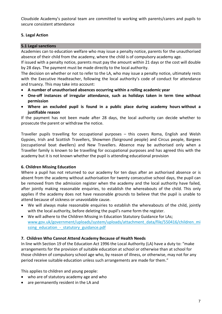Cloudside Academy's pastoral team are committed to working with parents/carers and pupils to secure consistent attendance

# 5. Legal Action

### 5.1 Legal sanctions

Academies can to education welfare who may issue a penalty notice, parents for the unauthorised absence of their child from the academy, where the child is of compulsory academy age.

If issued with a penalty notice, parents must pay the amount within 21 days or the cost will double by 28 days. The payment must be made directly to the local authority.

The decision on whether or not to refer to the LA, who may issue a penalty notice, ultimately rests with the Executive Headteacher, following the local authority's code of conduct for attendance and truancy. This may take into account:

- A number of unauthorised absences occurring within a rolling academic year
- One-off instances of irregular attendance, such as holidays taken in term time without permission
- Where an excluded pupil is found in a public place during academy hours without a justifiable reason

If the payment has not been made after 28 days, the local authority can decide whether to prosecute the parent or withdraw the notice.

Traveller pupils travelling for occupational purposes – this covers Roma, English and Welsh Gypsies, Irish and Scottish Travellers, Showmen (fairground people) and Circus people, Bargees (occupational boat dwellers) and New Travellers. Absence may be authorised only when a Traveller family is known to be travelling for occupational purposes and has agreed this with the academy but it is not known whether the pupil is attending educational provision

# 6. Children Missing Education

Where a pupil has not returned to our academy for ten days after an authorised absence or is absent from the academy without authorisation for twenty consecutive school days, the pupil can be removed from the admission register when the academy and the local authority have failed, after jointly making reasonable enquiries, to establish the whereabouts of the child. This only applies if the academy does not have reasonable grounds to believe that the pupil is unable to attend because of sickness or unavoidable cause.

- We will always make reasonable enquiries to establish the whereabouts of the child, jointly with the local authority, before deleting the pupil's name form the register.
- We will adhere to the Children Missing in Education Statutory Guidance for LAs; www.gov.uk/government/uploads/system/uploads/attachment\_data/file/550416/children\_mi ssing\_education - statutory\_guidance.pdf

# 7. Children Who Cannot Attend Academy Because of Health Needs

In line with Section 19 of the Education Act 1996 the Local Authority (LA) have a duty to: "make arrangements for the provision of suitable education at school or otherwise than at school for those children of compulsory school age who, by reason of illness, or otherwise, may not for any period receive suitable education unless such arrangements are made for them."

This applies to children and young people:

- who are of statutory academy age and who
- are permanently resident in the LA and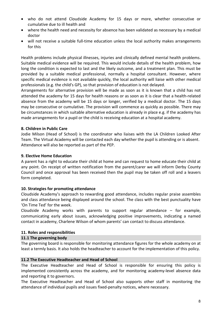- who do not attend Cloudside Academy for 15 days or more, whether consecutive or cumulative due to ill health and
- where the health need and necessity for absence has been validated as necessary by a medical doctor
- will not receive a suitable full-time education unless the local authority makes arrangements for this

Health problems include physical illnesses, injuries and clinically defined mental health problems. Suitable medical evidence will be required. This would include details of the health problem, how long the condition is expected to last and the likely outcome, and a treatment plan. This must be provided by a suitable medical professional, normally a hospital consultant. However, where specific medical evidence is not available quickly, the local authority will liaise with other medical professionals (e.g. the child's GP), so that provision of education is not delayed.

Arrangements for alternative provision will be made as soon as it is known that a child has not attended the academy for 15 days for health reasons or as soon as it is clear that a health-related absence from the academy will be 15 days or longer, verified by a medical doctor. The 15 days may be consecutive or cumulative. The provision will commence as quickly as possible. There may be circumstances in which suitable alternative education is already in place e.g. if the academy has made arrangements for a pupil or the child is receiving education at a hospital academy.

### 8. Children in Public Care

Jodie Milson (Head of School) is the coordinator who liaises with the LA Children Looked After Team. The Virtual Academy will be contacted each day whether the pupil is attending or is absent. Attendance will also be reported as part of the PEP.

# 9. Elective Home Education

A parent has a right to educate their child at home and can request to home educate their child at any point. On receipt of written notification from the parent/carer we will inform Derby County Council and once approval has been received then the pupil may be taken off roll and a leavers form completed.

# 10. Strategies for promoting attendance

Cloudside Academy's approach to rewarding good attendance, includes regular praise assembles and class attendance being displayed around the school. The class with the best punctuality have 'On Time Ted' for the week.

Cloudside Academy works with parents to support regular attendance – for example, communicating early about issues, acknowledging positive improvements, indicating a named contact in academy, Charlene Wilson of whom parents' can contact to discuss attendance.

### 11. Roles and responsibilities

### 11.1 The governing body

The governing board is responsible for monitoring attendance figures for the whole academy on at least a termly basis. It also holds the headteacher to account for the implementation of this policy.

### 11.2 The Executive Headteacher and Head of School

The Executive Headteacher and Head of School is responsible for ensuring this policy is implemented consistently across the academy, and for monitoring academy-level absence data and reporting it to governors.

The Executive Headteacher and Head of School also supports other staff in monitoring the attendance of individual pupils and issues fixed-penalty notices, where necessary.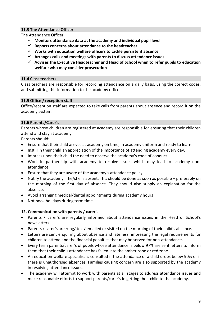# 11.3 The Attendance Officer

The Attendance Officer:

- $\checkmark$  Monitors attendance data at the academy and individual pupil level
- $\checkmark$  Reports concerns about attendance to the headteacher
- $\checkmark$  Works with education welfare officers to tackle persistent absence
- $\checkmark$  Arranges calls and meetings with parents to discuss attendance issues
- $\checkmark$  Advises the Executive Headteacher and Head of School when to refer pupils to education welfare who may consider prosecution

### 11.4 Class teachers

Class teachers are responsible for recording attendance on a daily basis, using the correct codes, and submitting this information to the academy office.

### 11.5 Office / reception staff

Office/reception staff are expected to take calls from parents about absence and record it on the academy system.

### 11.6 Parents/Carer's

Parents whose children are registered at academy are responsible for ensuring that their children attend and stay at academy

Parents should:

- Ensure that their child arrives at academy on time, in academy uniform and ready to learn.
- Instill in their child an appreciation of the importance of attending academy every day.
- Impress upon their child the need to observe the academy's code of conduct
- Work in partnership with academy to resolve issues which may lead to academy nonattendance.
- Ensure that they are aware of the academy's attendance policy
- Notify the academy if he/she is absent. This should be done as soon as possible preferably on the morning of the first day of absence. They should also supply an explanation for the absence.
- Avoid arranging medical/dental appointments during academy hours
- Not book holidays during term time.

### 12. Communication with parents / carer's

- Parents / carer's are regularly informed about attendance issues in the Head of School's newsletters.
- Parents / carer's are rung/ text/ emailed or visited on the morning of their child's absence.
- Letters are sent enquiring about absence and lateness, impressing the legal requirements for children to attend and the financial penalties that may be served for non-attendance.
- Every term parents/carer's of pupils whose attendance is below 97% are sent letters to inform them that their child's attendance has fallen into the amber zone or red zone.
- An education welfare specialist is consulted if the attendance of a child drops below 90% or if there is unauthorised absences. Families causing concern are also supported by the academy in resolving attendance issues.
- The academy will attempt to work with parents at all stages to address attendance issues and make reasonable efforts to support parents/carer's in getting their child to the academy.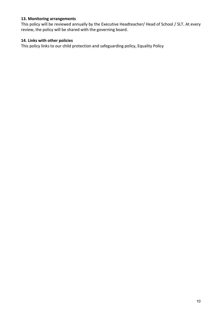# 13. Monitoring arrangements

This policy will be reviewed annually by the Executive Headteacher/ Head of School / SLT. At every review, the policy will be shared with the governing board.

# 14. Links with other policies

This policy links to our child protection and safeguarding policy, Equality Policy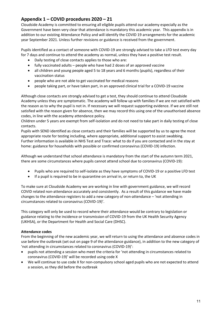# Appendix 1 – COVID procedures 2020 – 21

Cloudside Academy is committed to ensuring all eligible pupils attend our academy especially as the Government have been very clear that attendance is mandatory this academic year. This appendix is in addition to our existing Attendance Policy and will identify the COVID 19 arrangements for the academic year September 2021. Unless further revisions or guidance is received from the government.

Pupils identified as a contact of someone with COVID-19 are strongly advised to take a LFD test every day for 7 days and continue to attend the academy as normal, unless they have a positive test result.

- Daily testing of close contacts applies to those who are:
- fully vaccinated adults people who have had 2 doses of an approved vaccine
- all children and young people aged 5 to 18 years and 6 months (pupils), regardless of their vaccination status
- people who are not able to get vaccinated for medical reasons
- people taking part, or have taken part, in an approved clinical trial for a COVID-19 vaccine

Although close contacts are strongly advised to get a test, they should continue to attend Cloudside Academy unless they are symptomatic. The academy will follow up with families if we are not satisfied with the reason as to why the pupil is not in. If necessary we will request supporting evidence. If we are still not satisfied with the reason given for absence, then we may record this using one of the unauthorised absence codes, in line with the academy attendance policy.

Children under 5 years are exempt from self-isolation and do not need to take part in daily testing of close contacts.

Pupils with SEND identified as close contacts and their families will be supported by us to agree the most appropriate route for testing including, where appropriate, additional support to assist swabbing. Further information is available in NHS Test and Trace: what to do if you are contacted and in the stay at home: guidance for households with possible or confirmed coronavirus (COVID-19) infection.

Although we understand that school attendance is mandatory from the start of the autumn term 2021, there are some circumstances where pupils cannot attend school due to coronavirus (COVID-19):

- Pupils who are required to self-isolate as they have symptoms of COVID-19 or a positive LFD test
- If a pupil is required to be in quarantine on arrival in, or return to, the UK

To make sure at Cloudside Academy we are working in line with government guidance, we will record COVID related non-attendance accurately and consistently. As a result of this guidance we have made changes to the attendance registers to add a new category of non-attendance – 'not attending in circumstances related to coronavirus (COVID-19)'.

This category will only be used to record where their attendance would be contrary to legislation or guidance relating to the incidence or transmission of COVID-19 from the UK Health Security Agency (UKHSA), or the Department for Health and Social Care (DHSC).

### Attendance codes

From the beginning of the new academic year, we will return to using the attendance and absence codes in use before the outbreak (set out on page 9 of the attendance guidance), in addition to the new category of 'not attending in circumstances related to coronavirus (COVID-19)':

- pupils not attending a session who meet the criteria for 'not attending in circumstances related to coronavirus (COVID-19)' will be recorded using code X
- We will continue to use code X for non-compulsory school aged pupils who are not expected to attend a session, as they did before the outbreak